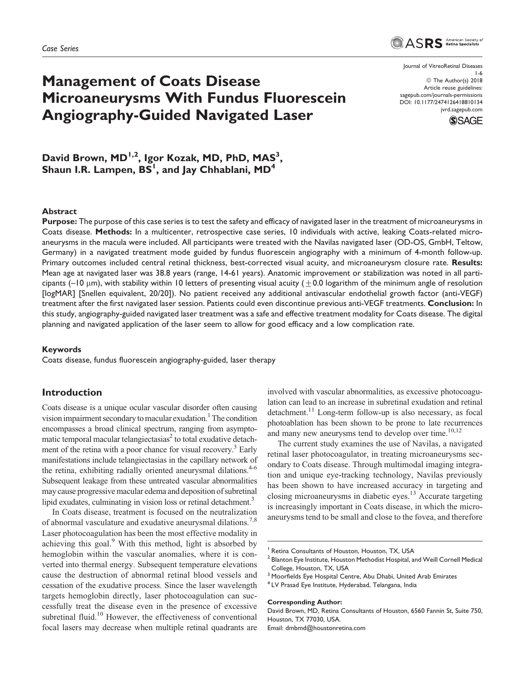# Management of Coats Disease Microaneurysms With Fundus Fluorescein Angiography-Guided Navigated Laser

Journal of VitreoRetinal Diseases 1-6 © The Author(s) 2018 Article reuse guidelines: [sagepub.com/journals-permissions](https://sagepub.com/journals-permissions) [DOI: 10.1177/2474126418810134](https://doi.org/10.1177/2474126418810134) [jvrd.sagepub.com](http://jvrd.sagepub.com)

ASRS American Society of



David Brown, MD<sup>1,2</sup>, Igor Kozak, MD, PhD, MAS<sup>3</sup>, Shaun I.R. Lampen,  $BS^1$ , and Jay Chhablani,  $MD^4$ 

#### Abstract

Purpose: The purpose of this case series is to test the safety and efficacy of navigated laser in the treatment of microaneurysms in Coats disease. Methods: In a multicenter, retrospective case series, 10 individuals with active, leaking Coats-related microaneurysms in the macula were included. All participants were treated with the Navilas navigated laser (OD-OS, GmbH, Teltow, Germany) in a navigated treatment mode guided by fundus fluorescein angiography with a minimum of 4-month follow-up. Primary outcomes included central retinal thickness, best-corrected visual acuity, and microaneurysm closure rate. Results: Mean age at navigated laser was 38.8 years (range, 14-61 years). Anatomic improvement or stabilization was noted in all participants ( $-10 \mu$ m), with stability within 10 letters of presenting visual acuity ( $\pm 0.0$  logarithm of the minimum angle of resolution [logMAR] [Snellen equivalent, 20/20]). No patient received any additional antivascular endothelial growth factor (anti-VEGF) treatment after the first navigated laser session. Patients could even discontinue previous anti-VEGF treatments. Conclusion: In this study, angiography-guided navigated laser treatment was a safe and effective treatment modality for Coats disease. The digital planning and navigated application of the laser seem to allow for good efficacy and a low complication rate.

#### Keywords

Coats disease, fundus fluorescein angiography-guided, laser therapy

# Introduction

Coats disease is a unique ocular vascular disorder often causing vision impairment secondary to macular exudation.<sup>1</sup> The condition encompasses a broad clinical spectrum, ranging from asymptomatic temporal macular telangiectasias<sup>2</sup> to total exudative detachment of the retina with a poor chance for visual recovery.<sup>3</sup> Early manifestations include telangiectasias in the capillary network of the retina, exhibiting radially oriented aneurysmal dilations.<sup>4-6</sup> Subsequent leakage from these untreated vascular abnormalities may cause progressive macular edema and deposition of subretinal lipid exudates, culminating in vision loss or retinal detachment.<sup>3</sup>

In Coats disease, treatment is focused on the neutralization of abnormal vasculature and exudative aneurysmal dilations.<sup>7,8</sup> Laser photocoagulation has been the most effective modality in achieving this goal.<sup>9</sup> With this method, light is absorbed by hemoglobin within the vascular anomalies, where it is converted into thermal energy. Subsequent temperature elevations cause the destruction of abnormal retinal blood vessels and cessation of the exudative process. Since the laser wavelength targets hemoglobin directly, laser photocoagulation can successfully treat the disease even in the presence of excessive subretinal fluid.<sup>10</sup> However, the effectiveness of conventional focal lasers may decrease when multiple retinal quadrants are

involved with vascular abnormalities, as excessive photocoagulation can lead to an increase in subretinal exudation and retinal detachment.<sup>11</sup> Long-term follow-up is also necessary, as focal photoablation has been shown to be prone to late recurrences and many new aneurysms tend to develop over time. $10,12$ 

The current study examines the use of Navilas, a navigated retinal laser photocoagulator, in treating microaneurysms secondary to Coats disease. Through multimodal imaging integration and unique eye-tracking technology, Navilas previously has been shown to have increased accuracy in targeting and closing microaneurysms in diabetic eyes.<sup>13</sup> Accurate targeting is increasingly important in Coats disease, in which the microaneurysms tend to be small and close to the fovea, and therefore

#### Corresponding Author:

David Brown, MD, Retina Consultants of Houston, 6560 Fannin St, Suite 750, Houston, TX 77030, USA.

Email: [dmbmd@houstonretina.com](mailto:dmbmd@houstonretina.com)

Retina Consultants of Houston, Houston, TX, USA

<sup>&</sup>lt;sup>2</sup> Blanton Eye Institute, Houston Methodist Hospital, and Weill Cornell Medical College, Houston, TX, USA

<sup>3</sup> Moorfields Eye Hospital Centre, Abu Dhabi, United Arab Emirates

<sup>4</sup> LV Prasad Eye Institute, Hyderabad, Telangana, India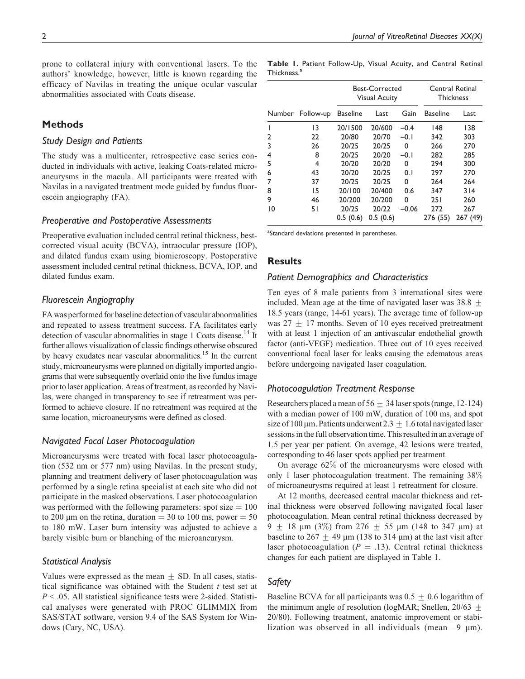prone to collateral injury with conventional lasers. To the authors' knowledge, however, little is known regarding the efficacy of Navilas in treating the unique ocular vascular abnormalities associated with Coats disease.

# **Methods**

## Study Design and Patients

The study was a multicenter, retrospective case series conducted in individuals with active, leaking Coats-related microaneurysms in the macula. All participants were treated with Navilas in a navigated treatment mode guided by fundus fluorescein angiography (FA).

## Preoperative and Postoperative Assessments

Preoperative evaluation included central retinal thickness, bestcorrected visual acuity (BCVA), intraocular pressure (IOP), and dilated fundus exam using biomicroscopy. Postoperative assessment included central retinal thickness, BCVA, IOP, and dilated fundus exam.

# Fluorescein Angiography

FA was performed for baseline detection of vascular abnormalities and repeated to assess treatment success. FA facilitates early detection of vascular abnormalities in stage 1 Coats disease.<sup>14</sup> It further allows visualization of classic findings otherwise obscured by heavy exudates near vascular abnormalities.<sup>15</sup> In the current study, microaneurysms were planned on digitally imported angiograms that were subsequently overlaid onto the live fundus image prior to laser application. Areas of treatment, as recorded by Navilas, were changed in transparency to see if retreatment was performed to achieve closure. If no retreatment was required at the same location, microaneurysms were defined as closed.

# Navigated Focal Laser Photocoagulation

Microaneurysms were treated with focal laser photocoagulation (532 nm or 577 nm) using Navilas. In the present study, planning and treatment delivery of laser photocoagulation was performed by a single retina specialist at each site who did not participate in the masked observations. Laser photocoagulation was performed with the following parameters: spot size  $= 100$ to 200 µm on the retina, duration  $=$  30 to 100 ms, power  $=$  50 to 180 mW. Laser burn intensity was adjusted to achieve a barely visible burn or blanching of the microaneurysm.

# Statistical Analysis

Values were expressed as the mean  $\pm$  SD. In all cases, statistical significance was obtained with the Student  $t$  test set at  $P < .05$ . All statistical significance tests were 2-sided. Statistical analyses were generated with PROC GLIMMIX from SAS/STAT software, version 9.4 of the SAS System for Windows (Cary, NC, USA).

Table 1. Patient Follow-Up, Visual Acuity, and Central Retinal Thickness.<sup>a</sup>

|                |                  | Best-Corrected<br><b>Visual Acuity</b> |                   |         | Central Retinal<br><b>Thickness</b> |                |
|----------------|------------------|----------------------------------------|-------------------|---------|-------------------------------------|----------------|
|                | Number Follow-up | <b>Baseline</b>                        | Last              | Gain    | <b>Baseline</b>                     | Last           |
| ı              | 13               | 20/1500                                | 20/600            | $-0.4$  | 148                                 | 138            |
| $\overline{2}$ | 22               | 20/80                                  | 20/70             | $-0.1$  | 342                                 | 303            |
| 3              | 26               | 20/25                                  | 20/25             | 0       | 266                                 | 270            |
| 4              | 8                | 20/25                                  | 20/20             | $-0.1$  | 282                                 | 285            |
| 5              | 4                | 20/20                                  | 20/20             | 0       | 294                                 | 300            |
| 6              | 43               | 20/20                                  | 20/25             | 0.1     | 297                                 | 270            |
| 7              | 37               | 20/25                                  | 20/25             | 0       | 264                                 | 264            |
| 8              | 15               | 20/100                                 | 20/400            | 0.6     | 347                                 | 314            |
| 9              | 46               | 20/200                                 | 20/200            | 0       | 251                                 | 260            |
| 10             | 51               | 20/25<br>0.5(0.6)                      | 20/22<br>0.5(0.6) | $-0.06$ | 272<br>276 (55)                     | 267<br>267(49) |

<sup>a</sup>Standard deviations presented in parentheses.

# **Results**

## Patient Demographics and Characteristics

Ten eyes of 8 male patients from 3 international sites were included. Mean age at the time of navigated laser was  $38.8 +$ 18.5 years (range, 14-61 years). The average time of follow-up was  $27 + 17$  months. Seven of 10 eyes received pretreatment with at least 1 injection of an antivascular endothelial growth factor (anti-VEGF) medication. Three out of 10 eyes received conventional focal laser for leaks causing the edematous areas before undergoing navigated laser coagulation.

## Photocoagulation Treatment Response

Researchers placed a mean of  $56 + 34$  laser spots (range, 12-124) with a median power of 100 mW, duration of 100 ms, and spot size of 100 µm. Patients underwent 2.3  $\pm$  1.6 total navigated laser sessions in the full observation time. This resulted in an average of 1.5 per year per patient. On average, 42 lesions were treated, corresponding to 46 laser spots applied per treatment.

On average 62% of the microaneurysms were closed with only 1 laser photocoagulation treatment. The remaining 38% of microaneurysms required at least 1 retreatment for closure.

At 12 months, decreased central macular thickness and retinal thickness were observed following navigated focal laser photocoagulation. Mean central retinal thickness decreased by 9  $\pm$  18 µm (3%) from 276  $\pm$  55 µm (148 to 347 µm) at baseline to 267  $\pm$  49 µm (138 to 314 µm) at the last visit after laser photocoagulation ( $P = .13$ ). Central retinal thickness changes for each patient are displayed in Table 1.

# Safety

Baseline BCVA for all participants was  $0.5 \pm 0.6$  logarithm of the minimum angle of resolution (logMAR; Snellen,  $20/63 +$ 20/80). Following treatment, anatomic improvement or stabilization was observed in all individuals (mean  $-9 \mu m$ ).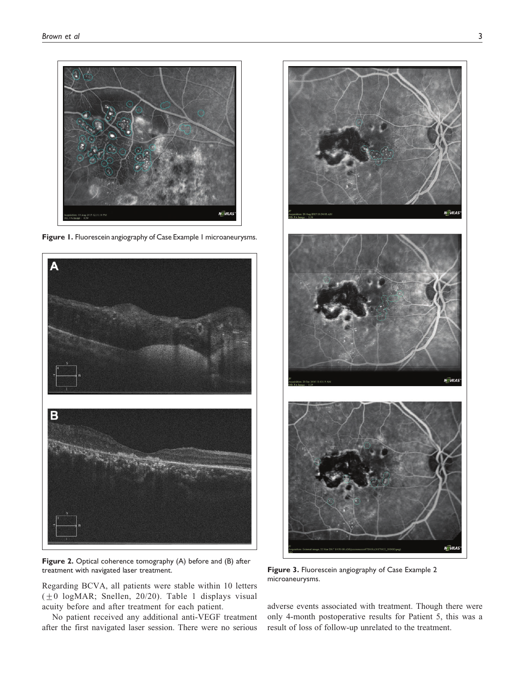

Figure 1. Fluorescein angiography of Case Example 1 microaneurysms.



Figure 2. Optical coherence tomography (A) before and (B) after treatment with navigated laser treatment. Figure 3. Fluorescein angiography of Case Example 2

Regarding BCVA, all patients were stable within 10 letters  $(\pm 0 \text{ log}$ MAR; Snellen, 20/20). Table 1 displays visual acuity before and after treatment for each patient.

No patient received any additional anti-VEGF treatment after the first navigated laser session. There were no serious



microaneurysms.

adverse events associated with treatment. Though there were only 4-month postoperative results for Patient 5, this was a result of loss of follow-up unrelated to the treatment.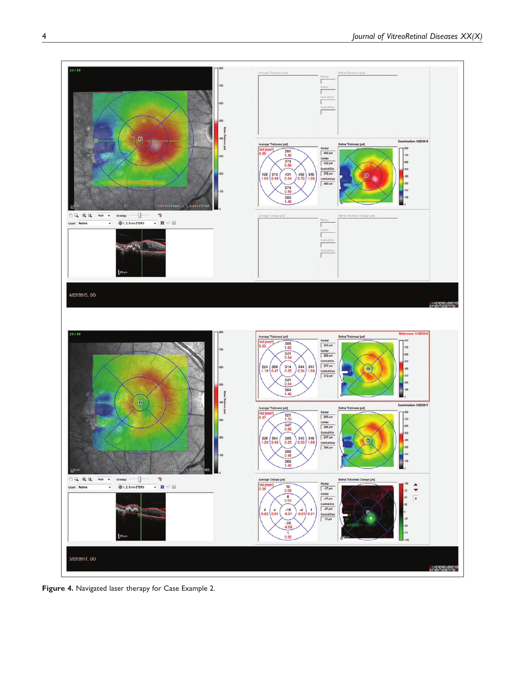

Figure 4. Navigated laser therapy for Case Example 2.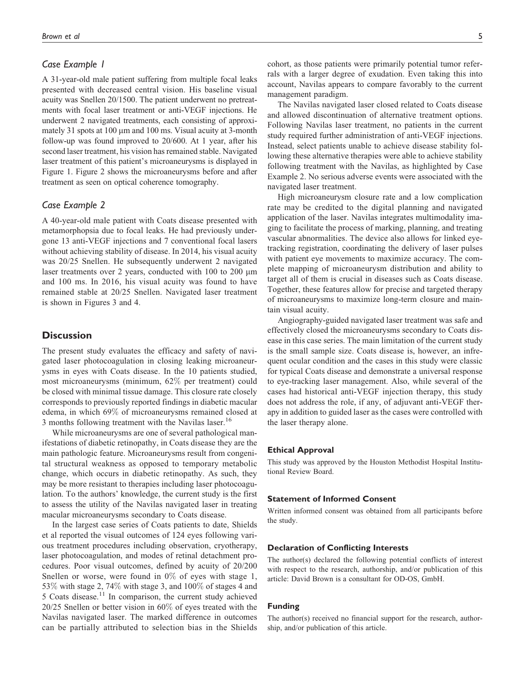## Case Example 1

A 31-year-old male patient suffering from multiple focal leaks presented with decreased central vision. His baseline visual acuity was Snellen 20/1500. The patient underwent no pretreatments with focal laser treatment or anti-VEGF injections. He underwent 2 navigated treatments, each consisting of approximately 31 spots at  $100 \mu m$  and  $100 \, \text{ms}$ . Visual acuity at 3-month follow-up was found improved to 20/600. At 1 year, after his second laser treatment, his vision has remained stable. Navigated laser treatment of this patient's microaneurysms is displayed in Figure 1. Figure 2 shows the microaneurysms before and after treatment as seen on optical coherence tomography.

## Case Example 2

A 40-year-old male patient with Coats disease presented with metamorphopsia due to focal leaks. He had previously undergone 13 anti-VEGF injections and 7 conventional focal lasers without achieving stability of disease. In 2014, his visual acuity was 20/25 Snellen. He subsequently underwent 2 navigated laser treatments over 2 years, conducted with 100 to 200  $\mu$ m and 100 ms. In 2016, his visual acuity was found to have remained stable at 20/25 Snellen. Navigated laser treatment is shown in Figures 3 and 4.

# **Discussion**

The present study evaluates the efficacy and safety of navigated laser photocoagulation in closing leaking microaneurysms in eyes with Coats disease. In the 10 patients studied, most microaneurysms (minimum, 62% per treatment) could be closed with minimal tissue damage. This closure rate closely corresponds to previously reported findings in diabetic macular edema, in which 69% of microaneurysms remained closed at 3 months following treatment with the Navilas laser.<sup>16</sup>

While microaneurysms are one of several pathological manifestations of diabetic retinopathy, in Coats disease they are the main pathologic feature. Microaneurysms result from congenital structural weakness as opposed to temporary metabolic change, which occurs in diabetic retinopathy. As such, they may be more resistant to therapies including laser photocoagulation. To the authors' knowledge, the current study is the first to assess the utility of the Navilas navigated laser in treating macular microaneurysms secondary to Coats disease.

In the largest case series of Coats patients to date, Shields et al reported the visual outcomes of 124 eyes following various treatment procedures including observation, cryotherapy, laser photocoagulation, and modes of retinal detachment procedures. Poor visual outcomes, defined by acuity of 20/200 Snellen or worse, were found in  $0\%$  of eyes with stage 1, 53% with stage 2, 74% with stage 3, and 100% of stages 4 and 5 Coats disease. $11$  In comparison, the current study achieved 20/25 Snellen or better vision in 60% of eyes treated with the Navilas navigated laser. The marked difference in outcomes can be partially attributed to selection bias in the Shields cohort, as those patients were primarily potential tumor referrals with a larger degree of exudation. Even taking this into account, Navilas appears to compare favorably to the current management paradigm.

The Navilas navigated laser closed related to Coats disease and allowed discontinuation of alternative treatment options. Following Navilas laser treatment, no patients in the current study required further administration of anti-VEGF injections. Instead, select patients unable to achieve disease stability following these alternative therapies were able to achieve stability following treatment with the Navilas, as highlighted by Case Example 2. No serious adverse events were associated with the navigated laser treatment.

High microaneurysm closure rate and a low complication rate may be credited to the digital planning and navigated application of the laser. Navilas integrates multimodality imaging to facilitate the process of marking, planning, and treating vascular abnormalities. The device also allows for linked eyetracking registration, coordinating the delivery of laser pulses with patient eye movements to maximize accuracy. The complete mapping of microaneurysm distribution and ability to target all of them is crucial in diseases such as Coats disease. Together, these features allow for precise and targeted therapy of microaneurysms to maximize long-term closure and maintain visual acuity.

Angiography-guided navigated laser treatment was safe and effectively closed the microaneurysms secondary to Coats disease in this case series. The main limitation of the current study is the small sample size. Coats disease is, however, an infrequent ocular condition and the cases in this study were classic for typical Coats disease and demonstrate a universal response to eye-tracking laser management. Also, while several of the cases had historical anti-VEGF injection therapy, this study does not address the role, if any, of adjuvant anti-VEGF therapy in addition to guided laser as the cases were controlled with the laser therapy alone.

#### Ethical Approval

This study was approved by the Houston Methodist Hospital Institutional Review Board.

#### Statement of Informed Consent

Written informed consent was obtained from all participants before the study.

#### Declaration of Conflicting Interests

The author(s) declared the following potential conflicts of interest with respect to the research, authorship, and/or publication of this article: David Brown is a consultant for OD-OS, GmbH.

#### Funding

The author(s) received no financial support for the research, authorship, and/or publication of this article.